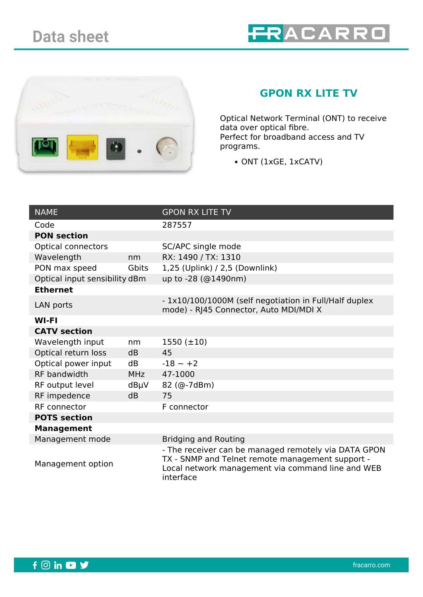



## **GPON RX LITE TV**

Optical Network Terminal (ONT) to receive data over optical fibre. Perfect for broadband access and TV programs.

• ONT (1xGE, 1xCATV)

| <b>NAME</b>                   |            | <b>GPON RX LITE TV</b>                                                                                                                                                     |  |
|-------------------------------|------------|----------------------------------------------------------------------------------------------------------------------------------------------------------------------------|--|
| Code                          |            | 287557                                                                                                                                                                     |  |
| <b>PON section</b>            |            |                                                                                                                                                                            |  |
| <b>Optical connectors</b>     |            | SC/APC single mode                                                                                                                                                         |  |
| Wavelength                    | nm         | RX: 1490 / TX: 1310                                                                                                                                                        |  |
| PON max speed                 | Gbits      | 1,25 (Uplink) / 2,5 (Downlink)                                                                                                                                             |  |
| Optical input sensibility dBm |            | up to -28 (@1490nm)                                                                                                                                                        |  |
| <b>Ethernet</b>               |            |                                                                                                                                                                            |  |
| LAN ports                     |            | - 1x10/100/1000M (self negotiation in Full/Half duplex<br>mode) - RJ45 Connector, Auto MDI/MDI X                                                                           |  |
| <b>WI-FI</b>                  |            |                                                                                                                                                                            |  |
| <b>CATV</b> section           |            |                                                                                                                                                                            |  |
| Wavelength input              | nm         | $1550 (\pm 10)$                                                                                                                                                            |  |
| Optical return loss           | dB         | 45                                                                                                                                                                         |  |
| Optical power input           | dB         | $-18 - +2$                                                                                                                                                                 |  |
| <b>RF</b> bandwidth           | <b>MHz</b> | 47-1000                                                                                                                                                                    |  |
| RF output level               | $dB\mu V$  | 82 (@-7dBm)                                                                                                                                                                |  |
| RF impedence                  | dB         | 75                                                                                                                                                                         |  |
| RF connector                  |            | F connector                                                                                                                                                                |  |
| <b>POTS section</b>           |            |                                                                                                                                                                            |  |
| <b>Management</b>             |            |                                                                                                                                                                            |  |
| Management mode               |            | <b>Bridging and Routing</b>                                                                                                                                                |  |
| Management option             |            | - The receiver can be managed remotely via DATA GPON<br>TX - SNMP and Telnet remote management support -<br>Local network management via command line and WEB<br>interface |  |